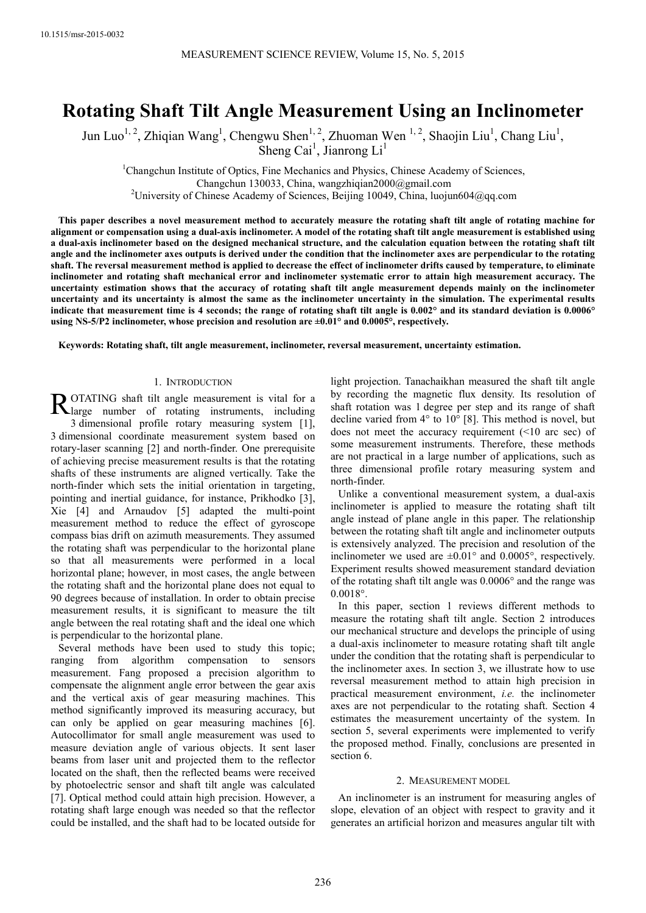# **Rotating Shaft Tilt Angle Measurement Using an Inclinometer**

Jun Luo<sup>1, 2</sup>, Zhiqian Wang<sup>1</sup>, Chengwu Shen<sup>1, 2</sup>, Zhuoman Wen<sup>1, 2</sup>, Shaojin Liu<sup>1</sup>, Chang Liu<sup>1</sup>, Sheng Cai<sup>1</sup>, Jianrong Li<sup>1</sup>

<sup>1</sup>Changchun Institute of Optics, Fine Mechanics and Physics, Chinese Academy of Sciences, Changchun 130033, China, wangzhiqian2000@gmail.com <sup>2</sup>University of Chinese Academy of Sciences, Beijing 10049, China, luojun604@qq.com

**This paper describes a novel measurement method to accurately measure the rotating shaft tilt angle of rotating machine for alignment or compensation using a dual-axis inclinometer. A model of the rotating shaft tilt angle measurement is established using a dual-axis inclinometer based on the designed mechanical structure, and the calculation equation between the rotating shaft tilt angle and the inclinometer axes outputs is derived under the condition that the inclinometer axes are perpendicular to the rotating shaft. The reversal measurement method is applied to decrease the effect of inclinometer drifts caused by temperature, to eliminate inclinometer and rotating shaft mechanical error and inclinometer systematic error to attain high measurement accuracy. The uncertainty estimation shows that the accuracy of rotating shaft tilt angle measurement depends mainly on the inclinometer uncertainty and its uncertainty is almost the same as the inclinometer uncertainty in the simulation. The experimental results indicate that measurement time is 4 seconds; the range of rotating shaft tilt angle is 0.002° and its standard deviation is 0.0006° using NS-5/P2 inclinometer, whose precision and resolution are ±0.01° and 0.0005°, respectively.** 

**Keywords: Rotating shaft, tilt angle measurement, inclinometer, reversal measurement, uncertainty estimation.** 

#### 1. INTRODUCTION

OTATING shaft tilt angle measurement is vital for a ROTATING shaft tilt angle measurement is vital for a large number of rotating instruments, including 3 dimensional profile rotary measuring system [1], 3 dimensional coordinate measurement system based on rotary-laser scanning [2] and north-finder. One prerequisite of achieving precise measurement results is that the rotating shafts of these instruments are aligned vertically. Take the north-finder which sets the initial orientation in targeting, pointing and inertial guidance, for instance, Prikhodko [3], Xie [4] and Arnaudov [5] adapted the multi-point measurement method to reduce the effect of gyroscope compass bias drift on azimuth measurements. They assumed the rotating shaft was perpendicular to the horizontal plane so that all measurements were performed in a local horizontal plane; however, in most cases, the angle between the rotating shaft and the horizontal plane does not equal to 90 degrees because of installation. In order to obtain precise measurement results, it is significant to measure the tilt angle between the real rotating shaft and the ideal one which is perpendicular to the horizontal plane.

Several methods have been used to study this topic; ranging from algorithm compensation to sensors measurement. Fang proposed a precision algorithm to compensate the alignment angle error between the gear axis and the vertical axis of gear measuring machines. This method significantly improved its measuring accuracy, but can only be applied on gear measuring machines [6]. Autocollimator for small angle measurement was used to measure deviation angle of various objects. It sent laser beams from laser unit and projected them to the reflector located on the shaft, then the reflected beams were received by photoelectric sensor and shaft tilt angle was calculated [7]. Optical method could attain high precision. However, a rotating shaft large enough was needed so that the reflector could be installed, and the shaft had to be located outside for light projection. Tanachaikhan measured the shaft tilt angle by recording the magnetic flux density. Its resolution of shaft rotation was 1 degree per step and its range of shaft decline varied from 4° to 10° [8]. This method is novel, but does not meet the accuracy requirement (<10 arc sec) of some measurement instruments. Therefore, these methods are not practical in a large number of applications, such as three dimensional profile rotary measuring system and north-finder.

Unlike a conventional measurement system, a dual-axis inclinometer is applied to measure the rotating shaft tilt angle instead of plane angle in this paper. The relationship between the rotating shaft tilt angle and inclinometer outputs is extensively analyzed. The precision and resolution of the inclinometer we used are  $\pm 0.01^{\circ}$  and 0.0005°, respectively. Experiment results showed measurement standard deviation of the rotating shaft tilt angle was 0.0006° and the range was 0.0018°.

In this paper, section 1 reviews different methods to measure the rotating shaft tilt angle. Section 2 introduces our mechanical structure and develops the principle of using a dual-axis inclinometer to measure rotating shaft tilt angle under the condition that the rotating shaft is perpendicular to the inclinometer axes. In section 3, we illustrate how to use reversal measurement method to attain high precision in practical measurement environment, *i.e.* the inclinometer axes are not perpendicular to the rotating shaft. Section 4 estimates the measurement uncertainty of the system. In section 5, several experiments were implemented to verify the proposed method. Finally, conclusions are presented in section 6.

#### 2. MEASUREMENT MODEL

An inclinometer is an instrument for measuring angles of slope, elevation of an object with respect to gravity and it generates an artificial horizon and measures angular tilt with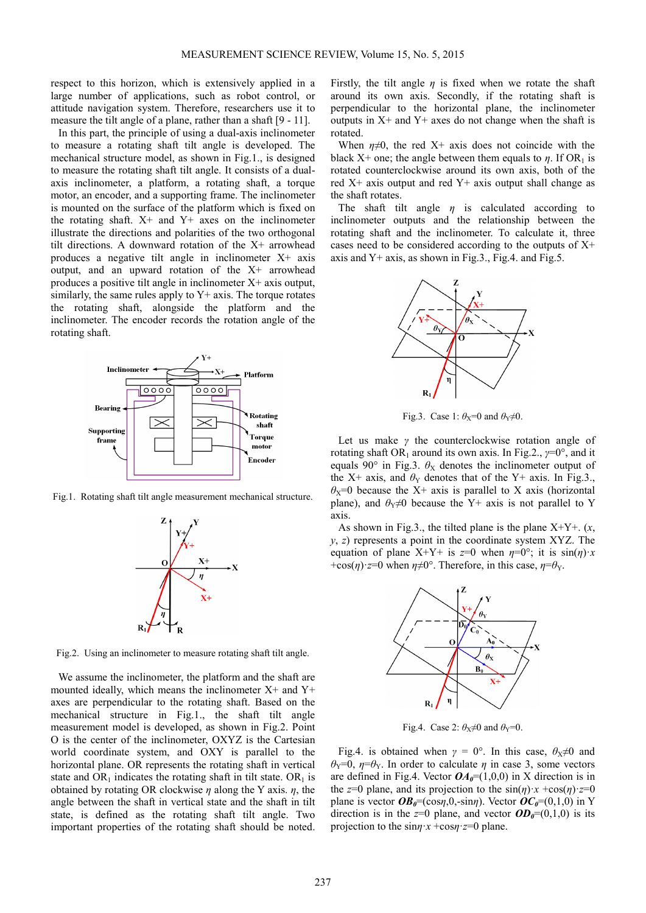respect to this horizon, which is extensively applied in a large number of applications, such as robot control, or attitude navigation system. Therefore, researchers use it to measure the tilt angle of a plane, rather than a shaft [9 - 11].

In this part, the principle of using a dual-axis inclinometer to measure a rotating shaft tilt angle is developed. The mechanical structure model, as shown in Fig.1., is designed to measure the rotating shaft tilt angle. It consists of a dualaxis inclinometer, a platform, a rotating shaft, a torque motor, an encoder, and a supporting frame. The inclinometer is mounted on the surface of the platform which is fixed on the rotating shaft.  $X^+$  and  $Y^+$  axes on the inclinometer illustrate the directions and polarities of the two orthogonal tilt directions. A downward rotation of the X+ arrowhead produces a negative tilt angle in inclinometer X+ axis output, and an upward rotation of the X+ arrowhead produces a positive tilt angle in inclinometer X+ axis output, similarly, the same rules apply to  $Y$ + axis. The torque rotates the rotating shaft, alongside the platform and the inclinometer. The encoder records the rotation angle of the rotating shaft.



Fig.1. Rotating shaft tilt angle measurement mechanical structure.



Fig.2. Using an inclinometer to measure rotating shaft tilt angle.

We assume the inclinometer, the platform and the shaft are mounted ideally, which means the inclinometer  $X^+$  and  $Y^+$ axes are perpendicular to the rotating shaft. Based on the mechanical structure in Fig.1., the shaft tilt angle measurement model is developed, as shown in Fig.2. Point O is the center of the inclinometer, OXYZ is the Cartesian world coordinate system, and OXY is parallel to the horizontal plane. OR represents the rotating shaft in vertical state and  $OR_1$  indicates the rotating shaft in tilt state.  $OR_1$  is obtained by rotating OR clockwise *η* along the Y axis. *η*, the angle between the shaft in vertical state and the shaft in tilt state, is defined as the rotating shaft tilt angle. Two important properties of the rotating shaft should be noted.

Firstly, the tilt angle  $\eta$  is fixed when we rotate the shaft around its own axis. Secondly, if the rotating shaft is perpendicular to the horizontal plane, the inclinometer outputs in  $X<sup>+</sup>$  and  $Y<sup>+</sup>$  axes do not change when the shaft is rotated.

When  $\eta \neq 0$ , the red X+ axis does not coincide with the black X+ one; the angle between them equals to  $\eta$ . If OR<sub>1</sub> is rotated counterclockwise around its own axis, both of the red  $X<sup>+</sup>$  axis output and red  $Y<sup>+</sup>$  axis output shall change as the shaft rotates.

The shaft tilt angle *η* is calculated according to inclinometer outputs and the relationship between the rotating shaft and the inclinometer. To calculate it, three cases need to be considered according to the outputs of X+ axis and  $Y+$  axis, as shown in Fig.3., Fig.4. and Fig.5.



Fig.3. Case 1:  $\theta_X=0$  and  $\theta_Y\neq 0$ .

Let us make *γ* the counterclockwise rotation angle of rotating shaft OR<sub>1</sub> around its own axis. In Fig.2.,  $\gamma=0^{\circ}$ , and it equals 90 $\degree$  in Fig.3.  $\theta_X$  denotes the inclinometer output of the X+ axis, and  $\theta_Y$  denotes that of the Y+ axis. In Fig.3.,  $\theta$ <sub>X</sub>=0 because the X+ axis is parallel to X axis (horizontal plane), and  $\theta_Y \neq 0$  because the Y+ axis is not parallel to Y axis.

As shown in Fig.3., the tilted plane is the plane  $X+Y+$ .  $(x,$ *y*, *z*) represents a point in the coordinate system XYZ. The equation of plane X+Y+ is  $z=0$  when  $\eta=0^{\circ}$ ; it is  $\sin(\eta) \cdot x$ +cos( $\eta$ )·*z*=0 when  $\eta \neq 0^{\circ}$ . Therefore, in this case,  $\eta = \theta_Y$ .



Fig.4. Case 2:  $\theta_X \neq 0$  and  $\theta_Y = 0$ .

Fig.4. is obtained when  $\gamma = 0^{\circ}$ . In this case,  $\theta_{\text{X}} \neq 0$  and *θ*<sub>Y</sub>=0, *η*=*θ*<sub>Y</sub>. In order to calculate *η* in case 3, some vectors are defined in Fig.4. Vector  $OA_0=(1,0,0)$  in X direction is in the *z*=0 plane, and its projection to the  $sin(\eta) \cdot x + cos(\eta) \cdot z = 0$ plane is vector  $OB_0 = (\cos{\eta_0}, 0, -\sin{\eta})$ . Vector  $OC_0 = (0,1,0)$  in Y direction is in the  $z=0$  plane, and vector  $OD_0=(0,1,0)$  is its projection to the sin*η*·*x* +cos*η*·*z*=0 plane.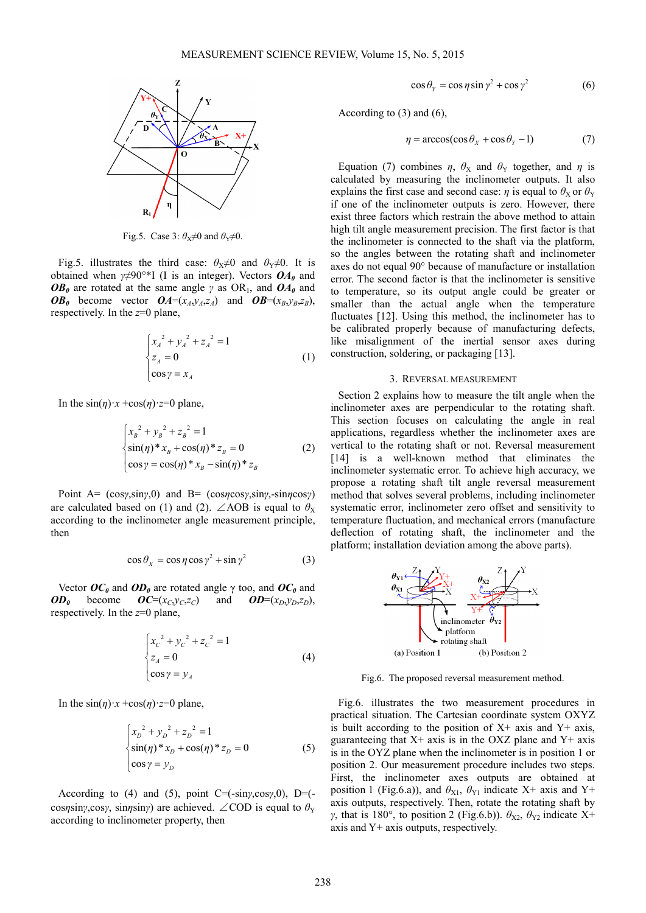

Fig.5. Case 3:  $\theta_X \neq 0$  and  $\theta_Y \neq 0$ .

Fig.5. illustrates the third case:  $\theta_X \neq 0$  and  $\theta_Y \neq 0$ . It is obtained when *γ*≠90°\*I (I is an integer). Vectors *OA0* and *OB*<sup> $0$ </sup> are rotated at the same angle *γ* as OR<sub>1</sub>, and *OA*<sup> $0$ </sup> and *OB*<sup>0</sup> become vector  $OA=(x_A,y_A,z_A)$  and  $OB=(x_B,y_B,z_B)$ , respectively. In the *z*=0 plane,

$$
\begin{cases} x_A^2 + y_A^2 + z_A^2 = 1\\ z_A = 0\\ \cos \gamma = x_A \end{cases}
$$
 (1)

In the  $sin(\eta) \cdot x + cos(\eta) \cdot z = 0$  plane,

$$
\begin{cases} x_B^2 + y_B^2 + z_B^2 = 1\\ \sin(\eta) * x_B + \cos(\eta) * z_B = 0\\ \cos \gamma = \cos(\eta) * x_B - \sin(\eta) * z_B \end{cases}
$$
 (2)

Point A= (cos*γ*,sin*γ*,0) and B= (cos*η*cos*γ*,sin*γ*,-sin*η*cos*γ*) are calculated based on (1) and (2). ∠AOB is equal to  $\theta_{\rm X}$ according to the inclinometer angle measurement principle, then

$$
\cos \theta_x = \cos \eta \cos \gamma^2 + \sin \gamma^2 \tag{3}
$$

Vector  $OC_0$  and  $OD_0$  are rotated angle  $\gamma$  too, and  $OC_0$  and *OD*<sub>0</sub> become *OC*=( $x_C$ , $y_C$ , $z_C$ ) and *OD*=( $x_D$ , $y_D$ , $z_D$ ), respectively. In the *z*=0 plane,

$$
\begin{cases} x_C^2 + y_C^2 + z_C^2 = 1\\ z_A = 0\\ \cos y = y_A \end{cases}
$$
 (4)

In the  $sin(\eta) \times x + cos(\eta) \times z = 0$  plane,

$$
\begin{cases} x_D^2 + y_D^2 + z_D^2 = 1\\ \sin(\eta) * x_D + \cos(\eta) * z_D = 0\\ \cos \gamma = y_D \end{cases}
$$
 (5)

According to (4) and (5), point  $C = (-\sin\gamma \cos\gamma, 0)$ ,  $D = (-\frac{\pi}{6})$ cos*η*sin*γ*,cos*γ*, sin*η*sin*γ*) are achieved. ∠COD is equal to  $\theta_Y$ according to inclinometer property, then

$$
\cos \theta_{y} = \cos \eta \sin \gamma^{2} + \cos \gamma^{2}
$$
 (6)

According to (3) and (6),

$$
\eta = \arccos(\cos \theta_X + \cos \theta_Y - 1) \tag{7}
$$

Equation (7) combines  $\eta$ ,  $\theta$ <sub>X</sub> and  $\theta$ <sub>Y</sub> together, and  $\eta$  is calculated by measuring the inclinometer outputs. It also explains the first case and second case: *η* is equal to  $\theta_X$  or  $\theta_Y$ if one of the inclinometer outputs is zero. However, there exist three factors which restrain the above method to attain high tilt angle measurement precision. The first factor is that the inclinometer is connected to the shaft via the platform, so the angles between the rotating shaft and inclinometer axes do not equal 90° because of manufacture or installation error. The second factor is that the inclinometer is sensitive to temperature, so its output angle could be greater or smaller than the actual angle when the temperature fluctuates [12]. Using this method, the inclinometer has to be calibrated properly because of manufacturing defects, like misalignment of the inertial sensor axes during construction, soldering, or packaging [13].

#### 3. REVERSAL MEASUREMENT

Section 2 explains how to measure the tilt angle when the inclinometer axes are perpendicular to the rotating shaft. This section focuses on calculating the angle in real applications, regardless whether the inclinometer axes are vertical to the rotating shaft or not. Reversal measurement [14] is a well-known method that eliminates the inclinometer systematic error. To achieve high accuracy, we propose a rotating shaft tilt angle reversal measurement method that solves several problems, including inclinometer systematic error, inclinometer zero offset and sensitivity to temperature fluctuation, and mechanical errors (manufacture deflection of rotating shaft, the inclinometer and the platform; installation deviation among the above parts).



Fig.6. The proposed reversal measurement method.

Fig.6. illustrates the two measurement procedures in practical situation. The Cartesian coordinate system OXYZ is built according to the position of  $X<sup>+</sup>$  axis and  $Y<sup>+</sup>$  axis, guaranteeing that  $X^+$  axis is in the OXZ plane and  $Y^+$  axis is in the OYZ plane when the inclinometer is in position 1 or position 2. Our measurement procedure includes two steps. First, the inclinometer axes outputs are obtained at position 1 (Fig.6.a)), and  $\theta_{X1}$ ,  $\theta_{Y1}$  indicate X+ axis and Y+ axis outputs, respectively. Then, rotate the rotating shaft by *γ*, that is 180°, to position 2 (Fig.6.b)).  $θ_{X2}$ ,  $θ_{Y2}$  indicate X+ axis and Y+ axis outputs, respectively.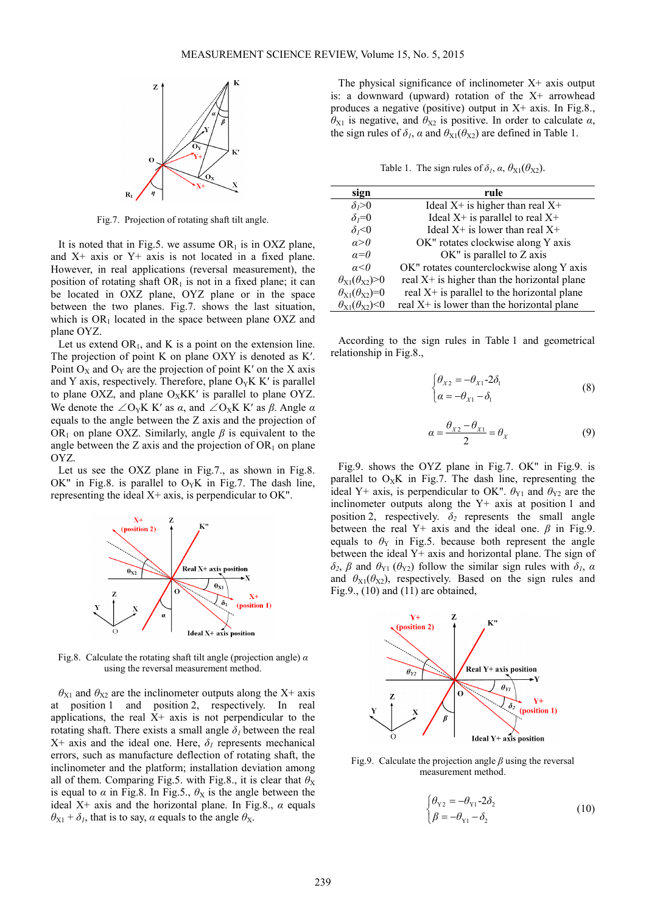

Fig.7. Projection of rotating shaft tilt angle.

It is noted that in Fig.5. we assume  $OR<sub>1</sub>$  is in OXZ plane, and X+ axis or Y+ axis is not located in a fixed plane. However, in real applications (reversal measurement), the position of rotating shaft  $OR<sub>1</sub>$  is not in a fixed plane; it can be located in OXZ plane, OYZ plane or in the space between the two planes. Fig.7. shows the last situation, which is  $OR_1$  located in the space between plane OXZ and plane OYZ.

Let us extend  $OR_1$ , and K is a point on the extension line. The projection of point K on plane OXY is denoted as K'. Point  $O_X$  and  $O_Y$  are the projection of point K' on the X axis and Y axis, respectively. Therefore, plane  $O_YK K'$  is parallel to plane OXZ, and plane  $O_XKK'$  is parallel to plane OYZ. We denote the  $\angle O_Y K K'$  as  $\alpha$ , and  $\angle O_X K K'$  as  $\beta$ . Angle  $\alpha$ equals to the angle between the Z axis and the projection of OR<sub>1</sub> on plane OXZ. Similarly, angle  $\beta$  is equivalent to the angle between the Z axis and the projection of  $OR_1$  on plane OYZ.

Let us see the OXZ plane in Fig.7., as shown in Fig.8. OK" in Fig.8. is parallel to  $O_yK$  in Fig.7. The dash line, representing the ideal X+ axis, is perpendicular to OK".



Fig.8. Calculate the rotating shaft tilt angle (projection angle) *α* using the reversal measurement method.

 $\theta_{X1}$  and  $\theta_{X2}$  are the inclinometer outputs along the X+ axis at position 1 and position 2, respectively. In real applications, the real  $X<sup>+</sup>$  axis is not perpendicular to the rotating shaft. There exists a small angle  $\delta_l$  between the real  $X+$  axis and the ideal one. Here,  $\delta_I$  represents mechanical errors, such as manufacture deflection of rotating shaft, the inclinometer and the platform; installation deviation among all of them. Comparing Fig.5. with Fig.8., it is clear that  $\theta_X$ is equal to  $\alpha$  in Fig.8. In Fig.5.,  $\theta$ <sub>X</sub> is the angle between the ideal  $X$ + axis and the horizontal plane. In Fig.8.,  $\alpha$  equals  $\theta_{X1} + \delta_I$ , that is to say, *α* equals to the angle  $\theta_X$ .

The physical significance of inclinometer  $X<sup>+</sup>$  axis output is: a downward (upward) rotation of the  $X^{+}$  arrowhead produces a negative (positive) output in X+ axis. In Fig.8.,  $\theta_{X1}$  is negative, and  $\theta_{X2}$  is positive. In order to calculate  $\alpha$ , the sign rules of  $\delta_l$ ,  $\alpha$  and  $\theta_{X1}(\theta_{X2})$  are defined in Table 1.

Table 1. The sign rules of  $\delta_1$ ,  $\alpha$ ,  $\theta_{X1}(\theta_{X2})$ .

| sign                             | rule                                          |
|----------------------------------|-----------------------------------------------|
| $\delta$ <sub>i</sub> $>0$       | Ideal $X^+$ is higher than real $X^+$         |
| $\delta_i=0$                     | Ideal $X^+$ is parallel to real $X^+$         |
| $\delta_1<0$                     | Ideal $X^+$ is lower than real $X^+$          |
| $\alpha > 0$                     | OK" rotates clockwise along Y axis            |
| $a=0$                            | $OK$ " is parallel to $Z$ axis                |
| $\alpha < 0$                     | OK" rotates counterclockwise along Y axis     |
| $\theta_{X1}(\theta_{X2})>0$     | real $X+$ is higher than the horizontal plane |
| $\theta_{X1}(\theta_{X2})=0$     | real X+ is parallel to the horizontal plane   |
| $\theta_{X1}(\theta_{X2})\leq 0$ | real $X+$ is lower than the horizontal plane  |

According to the sign rules in Table 1 and geometrical relationship in Fig.8.,

$$
\begin{cases} \theta_{X2} = -\theta_{X1} - 2\delta_1 \\ \alpha = -\theta_{X1} - \delta_1 \end{cases}
$$
 (8)

$$
\alpha = \frac{\theta_{X2} - \theta_{X1}}{2} = \theta_X \tag{9}
$$

Fig.9. shows the OYZ plane in Fig.7. OK" in Fig.9. is parallel to  $O_XK$  in Fig.7. The dash line, representing the ideal Y+ axis, is perpendicular to OK".  $\theta_{Y1}$  and  $\theta_{Y2}$  are the inclinometer outputs along the Y+ axis at position 1 and position 2, respectively.  $\delta_2$  represents the small angle between the real Y+ axis and the ideal one.  $\beta$  in Fig.9. equals to  $\theta_Y$  in Fig.5. because both represent the angle between the ideal Y+ axis and horizontal plane. The sign of *δ*<sub>2</sub>, *β* and  $θ_{Y1}$  ( $θ_{Y2}$ ) follow the similar sign rules with  $δ<sub>I</sub>$ , *α* and  $\theta_{X1}(\theta_{X2})$ , respectively. Based on the sign rules and Fig.9.,  $(10)$  and  $(11)$  are obtained,



Fig.9. Calculate the projection angle *β* using the reversal measurement method.

$$
\begin{cases} \theta_{\text{Y2}} = -\theta_{\text{Y1}} - 2\delta_2 \\ \beta = -\theta_{\text{Y1}} - \delta_2 \end{cases}
$$
 (10)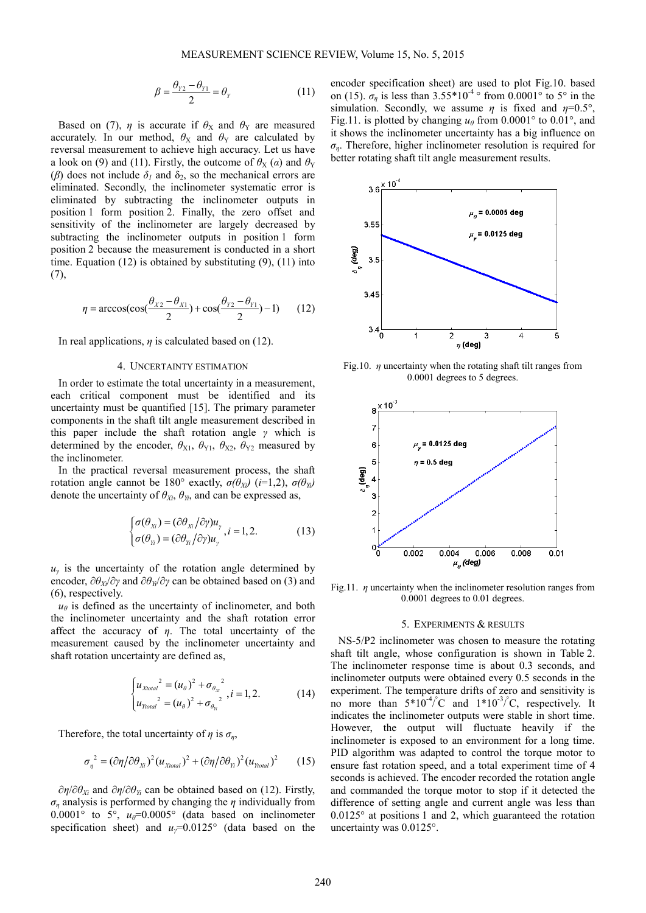$$
\beta = \frac{\theta_{\gamma_2} - \theta_{\gamma_1}}{2} = \theta_{\gamma}
$$
\n(11)

Based on (7),  $\eta$  is accurate if  $\theta_X$  and  $\theta_Y$  are measured accurately. In our method,  $\theta_X$  and  $\theta_Y$  are calculated by reversal measurement to achieve high accuracy. Let us have a look on (9) and (11). Firstly, the outcome of  $\theta_X(\alpha)$  and  $\theta_Y$ ( $\beta$ ) does not include  $\delta$ <sub>*l*</sub> and  $\delta$ <sub>2</sub>, so the mechanical errors are eliminated. Secondly, the inclinometer systematic error is eliminated by subtracting the inclinometer outputs in position 1 form position 2. Finally, the zero offset and sensitivity of the inclinometer are largely decreased by subtracting the inclinometer outputs in position 1 form position 2 because the measurement is conducted in a short time. Equation (12) is obtained by substituting (9), (11) into (7),

$$
\eta = \arccos(\cos(\frac{\theta_{x2} - \theta_{x1}}{2}) + \cos(\frac{\theta_{y2} - \theta_{y1}}{2}) - 1) \tag{12}
$$

In real applications, *η* is calculated based on (12).

#### 4. UNCERTAINTY ESTIMATION

In order to estimate the total uncertainty in a measurement, each critical component must be identified and its uncertainty must be quantified [15]. The primary parameter components in the shaft tilt angle measurement described in this paper include the shaft rotation angle *γ* which is determined by the encoder,  $\theta_{X1}$ ,  $\theta_{Y1}$ ,  $\theta_{X2}$ ,  $\theta_{Y2}$  measured by the inclinometer.

In the practical reversal measurement process, the shaft rotation angle cannot be 180° exactly,  $\sigma(\theta_{Xi})$  (*i*=1,2),  $\sigma(\theta_{Yi})$ denote the uncertainty of  $\theta_{X_i}$ ,  $\theta_{Y_i}$ , and can be expressed as,

$$
\begin{cases}\n\sigma(\theta_{\scriptscriptstyle{X}}) = (\partial \theta_{\scriptscriptstyle{X}} / \partial \gamma) u_{\gamma}, & i = 1, 2. \\
\sigma(\theta_{\scriptscriptstyle{Y}}) = (\partial \theta_{\scriptscriptstyle{Y}} / \partial \gamma) u_{\gamma}, & i = 1, 2.\n\end{cases}
$$
\n(13)

 $u<sub>y</sub>$  is the uncertainty of the rotation angle determined by encoder, ∂*θXi*/∂*γ* and ∂*θYi*/∂*γ* can be obtained based on (3) and (6), respectively.

 $u_{\theta}$  is defined as the uncertainty of inclinometer, and both the inclinometer uncertainty and the shaft rotation error affect the accuracy of  $\eta$ . The total uncertainty of the measurement caused by the inclinometer uncertainty and shaft rotation uncertainty are defined as,

$$
\begin{cases} u_{Xtotal}^{2} = (u_{\theta})^{2} + \sigma_{\theta_{X_{i}}^{2}}, & i = 1, 2. \\ u_{Ytotal}^{2} = (u_{\theta})^{2} + \sigma_{\theta_{Y_{i}}^{2}}, & (14) \end{cases}
$$

Therefore, the total uncertainty of  $\eta$  is  $\sigma_n$ ,

$$
\sigma_{\eta}^{2} = (\partial \eta / \partial \theta_{\chi_{i}})^{2} (u_{\chi_{total}})^{2} + (\partial \eta / \partial \theta_{\chi_{i}})^{2} (u_{\chi_{total}})^{2}
$$
 (15)

∂*η*/∂*θXi* and ∂*η*/∂*θYi* can be obtained based on (12). Firstly,  $\sigma_n$  analysis is performed by changing the *η* individually from  $0.0001$ ° to 5°,  $u_{\theta}$ =0.0005° (data based on inclinometer specification sheet) and *uγ*=0.0125° (data based on the encoder specification sheet) are used to plot Fig.10. based on (15).  $\sigma_n$  is less than 3.55\*10<sup>-4</sup> ° from 0.0001° to 5° in the simulation. Secondly, we assume  $\eta$  is fixed and  $\eta=0.5^{\circ}$ , Fig.11. is plotted by changing  $u_\theta$  from 0.0001° to 0.01°, and it shows the inclinometer uncertainty has a big influence on *ση*. Therefore, higher inclinometer resolution is required for better rotating shaft tilt angle measurement results.



Fig.10. *η* uncertainty when the rotating shaft tilt ranges from 0.0001 degrees to 5 degrees.



Fig.11. *η* uncertainty when the inclinometer resolution ranges from 0.0001 degrees to 0.01 degrees.

#### 5. EXPERIMENTS & RESULTS

NS-5/P2 inclinometer was chosen to measure the rotating shaft tilt angle, whose configuration is shown in Table 2. The inclinometer response time is about 0.3 seconds, and inclinometer outputs were obtained every 0.5 seconds in the experiment. The temperature drifts of zero and sensitivity is no more than  $5*10^{-4}$  °C and  $1*10^{-3}$  °C, respectively. It indicates the inclinometer outputs were stable in short time. However, the output will fluctuate heavily if the inclinometer is exposed to an environment for a long time. PID algorithm was adapted to control the torque motor to ensure fast rotation speed, and a total experiment time of 4 seconds is achieved. The encoder recorded the rotation angle and commanded the torque motor to stop if it detected the difference of setting angle and current angle was less than  $0.0125^{\circ}$  at positions 1 and 2, which guaranteed the rotation uncertainty was 0.0125°.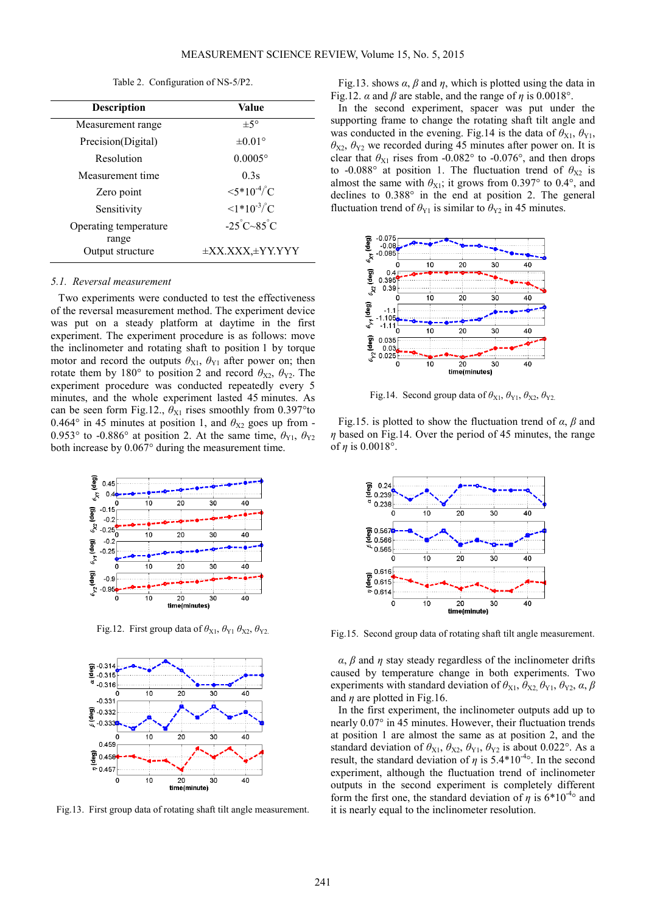Table 2. Configuration of NS-5/P2.

| <b>Description</b>        | Value                                |
|---------------------------|--------------------------------------|
| Measurement range         | $\pm$ 5°                             |
| Precision(Digital)        | $\pm 0.01^{\circ}$                   |
| Resolution                | $0.0005^{\circ}$                     |
| Measurement time          | 0.3s                                 |
| Zero point                | $\langle 5*10^4 \rangle^{\circ}$ C   |
| Sensitivity               | $\langle 1*10^{-3} \rangle^{\circ}C$ |
| Operating temperature     | $-25^{\circ}C - 85^{\circ}C$         |
| range<br>Output structure | $\pm$ XX.XXX, $\pm$ YY.YYY           |

#### *5.1. Reversal measurement*

Two experiments were conducted to test the effectiveness of the reversal measurement method. The experiment device was put on a steady platform at daytime in the first experiment. The experiment procedure is as follows: move the inclinometer and rotating shaft to position 1 by torque motor and record the outputs  $\theta_{X1}$ ,  $\theta_{Y1}$  after power on; then rotate them by 180° to position 2 and record  $\theta_{X2}$ ,  $\theta_{Y2}$ . The experiment procedure was conducted repeatedly every 5 minutes, and the whole experiment lasted 45 minutes. As can be seen form Fig.12.,  $\theta_{X1}$  rises smoothly from 0.397°to 0.464° in 45 minutes at position 1, and  $\theta_{X2}$  goes up from -0.953° to -0.886° at position 2. At the same time,  $\theta_{Y1}$ ,  $\theta_{Y2}$ both increase by 0.067° during the measurement time.



Fig.12. First group data of  $\theta_{X1}$ ,  $\theta_{Y1}$   $\theta_{X2}$ ,  $\theta_{Y2}$ 



Fig.13. First group data of rotating shaft tilt angle measurement.

Fig.13. shows  $\alpha$ ,  $\beta$  and  $\eta$ , which is plotted using the data in Fig.12.  $\alpha$  and  $\beta$  are stable, and the range of  $\eta$  is 0.0018°.

In the second experiment, spacer was put under the supporting frame to change the rotating shaft tilt angle and was conducted in the evening. Fig.14 is the data of  $\theta_{X1}$ ,  $\theta_{Y1}$ ,  $\theta_{X2}$ ,  $\theta_{Y2}$  we recorded during 45 minutes after power on. It is clear that  $\theta_{X1}$  rises from -0.082° to -0.076°, and then drops to -0.088° at position 1. The fluctuation trend of  $\theta_{X2}$  is almost the same with  $\theta_{X1}$ ; it grows from 0.397° to 0.4°, and declines to 0.388° in the end at position 2. The general fluctuation trend of  $\theta_{Y1}$  is similar to  $\theta_{Y2}$  in 45 minutes.



Fig.14. Second group data of  $\theta_{X1}$ ,  $\theta_{Y1}$ ,  $\theta_{X2}$ ,  $\theta_{Y2}$ 

Fig.15. is plotted to show the fluctuation trend of *α*, *β* and *η* based on Fig.14. Over the period of 45 minutes, the range of  $\eta$  is 0.0018°.



Fig.15. Second group data of rotating shaft tilt angle measurement.

*α*, *β* and *η* stay steady regardless of the inclinometer drifts caused by temperature change in both experiments. Two experiments with standard deviation of  $\theta_{X1}$ ,  $\theta_{X2}$ ,  $\theta_{Y1}$ ,  $\theta_{Y2}$ ,  $\alpha$ ,  $\beta$ and *η* are plotted in Fig.16.

In the first experiment, the inclinometer outputs add up to nearly 0.07° in 45 minutes. However, their fluctuation trends at position 1 are almost the same as at position 2, and the standard deviation of  $\theta_{X1}$ ,  $\theta_{X2}$ ,  $\theta_{Y1}$ ,  $\theta_{Y2}$  is about 0.022°. As a result, the standard deviation of  $\eta$  is 5.4\*10<sup>-4</sup>°. In the second experiment, although the fluctuation trend of inclinometer outputs in the second experiment is completely different form the first one, the standard deviation of  $\eta$  is  $6*10^{-4}$ ° and it is nearly equal to the inclinometer resolution.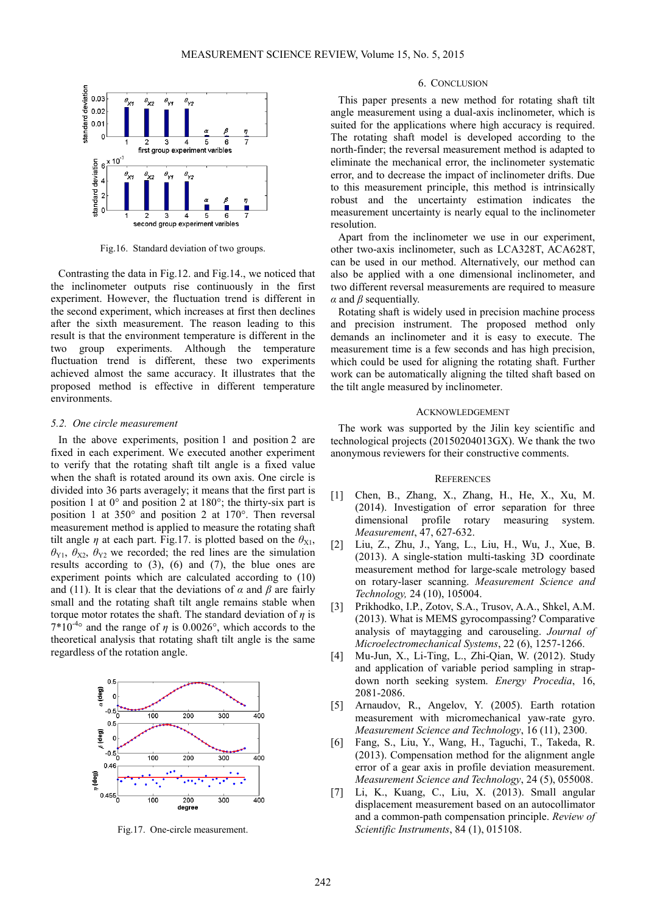

Fig.16. Standard deviation of two groups.

Contrasting the data in Fig.12. and Fig.14., we noticed that the inclinometer outputs rise continuously in the first experiment. However, the fluctuation trend is different in the second experiment, which increases at first then declines after the sixth measurement. The reason leading to this result is that the environment temperature is different in the two group experiments. Although the temperature fluctuation trend is different, these two experiments achieved almost the same accuracy. It illustrates that the proposed method is effective in different temperature environments.

## *5.2. One circle measurement*

In the above experiments, position 1 and position 2 are fixed in each experiment. We executed another experiment to verify that the rotating shaft tilt angle is a fixed value when the shaft is rotated around its own axis. One circle is divided into 36 parts averagely; it means that the first part is position 1 at 0° and position 2 at 180°; the thirty-six part is position 1 at 350° and position 2 at 170°. Then reversal measurement method is applied to measure the rotating shaft tilt angle *η* at each part. Fig.17. is plotted based on the  $\theta_{X1}$ ,  $\theta_{Y1}$ ,  $\theta_{X2}$ ,  $\theta_{Y2}$  we recorded; the red lines are the simulation results according to (3), (6) and (7), the blue ones are experiment points which are calculated according to (10) and (11). It is clear that the deviations of  $\alpha$  and  $\beta$  are fairly small and the rotating shaft tilt angle remains stable when torque motor rotates the shaft. The standard deviation of *η* is  $7*10^{-4}$ ° and the range of  $\eta$  is 0.0026°, which accords to the theoretical analysis that rotating shaft tilt angle is the same regardless of the rotation angle.



Fig.17. One-circle measurement.

#### 6. CONCLUSION

This paper presents a new method for rotating shaft tilt angle measurement using a dual-axis inclinometer, which is suited for the applications where high accuracy is required. The rotating shaft model is developed according to the north-finder; the reversal measurement method is adapted to eliminate the mechanical error, the inclinometer systematic error, and to decrease the impact of inclinometer drifts. Due to this measurement principle, this method is intrinsically robust and the uncertainty estimation indicates the measurement uncertainty is nearly equal to the inclinometer resolution.

Apart from the inclinometer we use in our experiment, other two-axis inclinometer, such as LCA328T, ACA628T, can be used in our method. Alternatively, our method can also be applied with a one dimensional inclinometer, and two different reversal measurements are required to measure *α* and *β* sequentially.

Rotating shaft is widely used in precision machine process and precision instrument. The proposed method only demands an inclinometer and it is easy to execute. The measurement time is a few seconds and has high precision, which could be used for aligning the rotating shaft. Further work can be automatically aligning the tilted shaft based on the tilt angle measured by inclinometer.

#### ACKNOWLEDGEMENT

The work was supported by the Jilin key scientific and technological projects (20150204013GX). We thank the two anonymous reviewers for their constructive comments.

## **REFERENCES**

- [1] Chen, B., Zhang, X., Zhang, H., He, X., Xu, M. (2014). Investigation of error separation for three dimensional profile rotary measuring system. *Measurement*, 47, 627-632.
- [2] Liu, Z., Zhu, J., Yang, L., Liu, H., Wu, J., Xue, B. (2013). A single-station multi-tasking 3D coordinate measurement method for large-scale metrology based on rotary-laser scanning. *Measurement Science and Technology,* 24 (10), 105004.
- [3] Prikhodko, I.P., Zotov, S.A., Trusov, A.A., Shkel, A.M. (2013). What is MEMS gyrocompassing? Comparative analysis of maytagging and carouseling. *Journal of Microelectromechanical Systems*, 22 (6), 1257-1266.
- [4] Mu-Jun, X., Li-Ting, L., Zhi-Qian, W. (2012). Study and application of variable period sampling in strapdown north seeking system. *Energy Procedia*, 16, 2081-2086.
- [5] Arnaudov, R., Angelov, Y. (2005). Earth rotation measurement with micromechanical yaw-rate gyro. *Measurement Science and Technology*, 16 (11), 2300.
- [6] Fang, S., Liu, Y., Wang, H., Taguchi, T., Takeda, R. (2013). Compensation method for the alignment angle error of a gear axis in profile deviation measurement. *Measurement Science and Technology*, 24 (5), 055008.
- [7] Li, K., Kuang, C., Liu, X. (2013). Small angular displacement measurement based on an autocollimator and a common-path compensation principle. *Review of Scientific Instruments*, 84 (1), 015108.